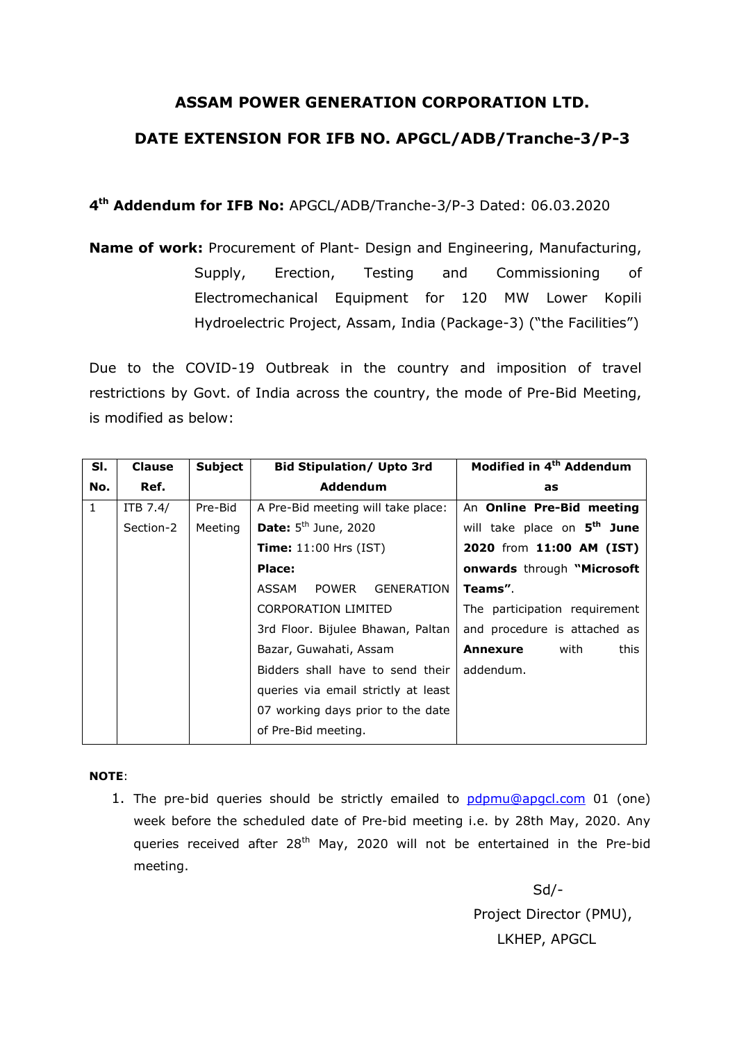## ASSAM POWER GENERATION CORPORATION LTD. DATE EXTENSION FOR IFB NO. APGCL/ADB/Tranche-3/P-3

4<sup>th</sup> Addendum for IFB No: APGCL/ADB/Tranche-3/P-3 Dated: 06.03.2020

Name of work: Procurement of Plant- Design and Engineering, Manufacturing, Supply, Erection, Testing and Commissioning of Electromechanical Equipment for 120 MW Lower Kopili Hydroelectric Project, Assam, India (Package-3) ("the Facilities")

Due to the COVID-19 Outbreak in the country and imposition of travel restrictions by Govt. of India across the country, the mode of Pre-Bid Meeting, is modified as below:

| SI.          | <b>Clause</b> | <b>Subject</b> | <b>Bid Stipulation/ Upto 3rd</b>           | Modified in 4 <sup>th</sup> Addendum    |
|--------------|---------------|----------------|--------------------------------------------|-----------------------------------------|
| No.          | Ref.          |                | Addendum                                   | as                                      |
| $\mathbf{1}$ | ITB 7.4/      | Pre-Bid        | A Pre-Bid meeting will take place:         | An Online Pre-Bid meeting               |
|              | Section-2     | Meeting        | <b>Date:</b> $5th$ June, 2020              | will take place on 5 <sup>th</sup> June |
|              |               |                | <b>Time:</b> $11:00$ Hrs (IST)             | 2020 from 11:00 AM (IST)                |
|              |               |                | Place:                                     | <b>onwards</b> through "Microsoft       |
|              |               |                | <b>POWER</b><br><b>GENERATION</b><br>ASSAM | Teams".                                 |
|              |               |                | <b>CORPORATION LIMITED</b>                 | The participation requirement           |
|              |               |                | 3rd Floor. Bijulee Bhawan, Paltan          | and procedure is attached as            |
|              |               |                | Bazar, Guwahati, Assam                     | this<br>with<br>Annexure                |
|              |               |                | Bidders shall have to send their           | addendum.                               |
|              |               |                | queries via email strictly at least        |                                         |
|              |               |                | 07 working days prior to the date          |                                         |
|              |               |                | of Pre-Bid meeting.                        |                                         |

## NOTE:

1. The pre-bid queries should be strictly emailed to pdpmu@apgcl.com 01 (one) week before the scheduled date of Pre-bid meeting i.e. by 28th May, 2020. Any queries received after 28<sup>th</sup> May, 2020 will not be entertained in the Pre-bid meeting.

> Sd/- Project Director (PMU), LKHEP, APGCL